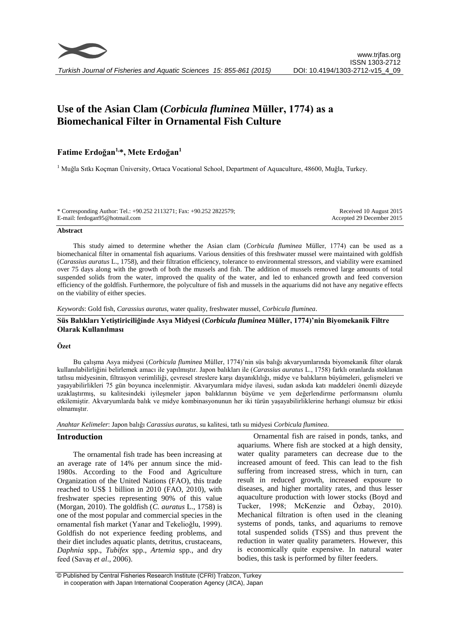

# **Use of the Asian Clam (***Corbicula fluminea* **Müller, 1774) as a Biomechanical Filter in Ornamental Fish Culture**

# **Fatime Erdoğan1,\*, Mete Erdoğan<sup>1</sup>**

<sup>1</sup> Muğla Sıtkı Koçman Üniversity, Ortaca Vocational School, Department of Aquaculture, 48600, Muğla, Turkey.

\* Corresponding Author: Tel.: +90.252 2113271; Fax: +90.252 2822579; E-mail: ferdogan95@hotmail.com

Received 10 August 2015 Accepted 29 December 2015

#### **Abstract**

This study aimed to determine whether the Asian clam (*Corbicula fluminea* Müller, 1774) can be used as a biomechanical filter in ornamental fish aquariums. Various densities of this freshwater mussel were maintained with goldfish (*Carassius auratus* L., 1758), and their filtration efficiency, tolerance to environmental stressors, and viability were examined over 75 days along with the growth of both the mussels and fish. The addition of mussels removed large amounts of total suspended solids from the water, improved the quality of the water, and led to enhanced growth and feed conversion efficiency of the goldfish. Furthermore, the polyculture of fish and mussels in the aquariums did not have any negative effects on the viability of either species.

*Keywords*: Gold fish, *Carassius auratus*, water quality, freshwater mussel, *Corbicula fluminea*.

## **Süs Balıkları Yetiştiriciliğinde Asya Midyesi (***Corbicula fluminea* **Müller, 1774)'nin Biyomekanik Filtre Olarak Kullanılması**

## **Özet**

Bu çalışma Asya midyesi (*Corbicula fluminea* Müller, 1774)'nin süs balığı akvaryumlarında biyomekanik filter olarak kullanılabilirliğini belirlemek amacı ile yapılmıştır. Japon balıkları ile (*Carassius auratus* L., 1758) farklı oranlarda stoklanan tatlısu midyesinin, filtrasyon verimliliği, çevresel streslere karşı dayanıklılığı, midye ve balıkların büyümeleri, gelişmeleri ve yaşayabilirlikleri 75 gün boyunca incelenmiştir. Akvaryumlara midye ilavesi, sudan askıda katı maddeleri önemli düzeyde uzaklaştırmış, su kalitesindeki iyileşmeler japon balıklarının büyüme ve yem değerlendirme performansını olumlu etkilemiştir. Akvaryumlarda balık ve midye kombinasyonunun her iki türün yaşayabilirliklerine herhangi olumsuz bir etkisi olmamıştır.

*Anahtar Kelimeler*: Japon balığı *Carassius auratus*, su kalitesi, tatlı su midyesi *Corbicula fluminea*.

# **Introduction**

The ornamental fish trade has been increasing at an average rate of 14% per annum since the mid-1980s. According to the Food and Agriculture Organization of the United Nations (FAO), this trade reached to US\$ 1 billion in 2010 (FAO, 2010), with freshwater species representing 90% of this value (Morgan, 2010). The goldfish (*C. auratus* L., 1758) is one of the most popular and commercial species in the ornamental fish market (Yanar and Tekelioğlu, 1999). Goldfish do not experience feeding problems, and their diet includes aquatic plants, detritus, crustaceans, *Daphnia* spp., *Tubifex* spp., *Artemia* spp., and dry feed (Savaş *et al*., 2006).

Ornamental fish are raised in ponds, tanks, and aquariums. Where fish are stocked at a high density, water quality parameters can decrease due to the increased amount of feed. This can lead to the fish suffering from increased stress, which in turn, can result in reduced growth, increased exposure to diseases, and higher mortality rates, and thus lesser aquaculture production with lower stocks (Boyd and Tucker, 1998; McKenzie and Özbay, 2010). Mechanical filtration is often used in the cleaning systems of ponds, tanks, and aquariums to remove total suspended solids (TSS) and thus prevent the reduction in water quality parameters. However, this is economically quite expensive. In natural water bodies, this task is performed by filter feeders.

© Published by Central Fisheries Research Institute (CFRI) Trabzon, Turkey in cooperation with Japan International Cooperation Agency (JICA), Japan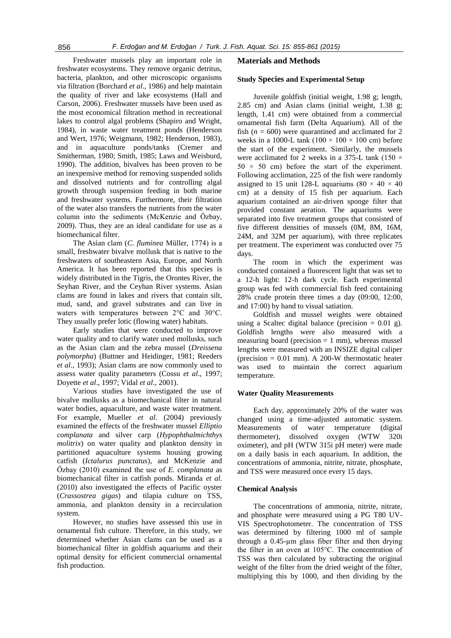Freshwater mussels play an important role in freshwater ecosystems. They remove organic detritus, bacteria, plankton, and other microscopic organisms via filtration (Borchard *et al*., 1986) and help maintain the quality of river and lake ecosystems (Hall and Carson, 2006). Freshwater mussels have been used as the most economical filtration method in recreational lakes to control algal problems (Shapiro and Wright, 1984), in waste water treatment ponds (Henderson and Wert, 1976; Weigmann, 1982; Henderson, 1983), and in aquaculture ponds/tanks (Cremer and Smitherman, 1980; Smith, 1985; Laws and Weisburd, 1990). The addition, bivalves has been proven to be an inexpensive method for removing suspended solids and dissolved nutrients and for controlling algal growth through suspension feeding in both marine and freshwater systems. Furthermore, their filtration of the water also transfers the nutrients from the water column into the sediments (McKenzie and Özbay, 2009). Thus, they are an ideal candidate for use as a biomechanical filter.

The Asian clam (*C. fluminea* Müller, 1774) is a small, freshwater bivalve mollusk that is native to the freshwaters of southeastern Asia, Europe, and North America. It has been reported that this species is widely distributed in the Tigris, the Orontes River, the Seyhan River, and the Ceyhan River systems. Asian clams are found in lakes and rivers that contain silt, mud, sand, and gravel substrates and can live in waters with temperatures between 2°C and 30°C. They usually prefer lotic (flowing water) habitats.

Early studies that were conducted to improve water quality and to clarify water used mollusks, such as the Asian clam and the zebra mussel (*Dreissena polymorpha*) (Buttner and Heidinger, 1981; Reeders *et al*., 1993); Asian clams are now commonly used to assess water quality parameters (Cossu *et al*., 1997; Doyette *et al*., 1997; Vidal *et al*., 2001).

Various studies have investigated the use of bivalve mollusks as a biomechanical filter in natural water bodies, aquaculture, and waste water treatment. For example, Mueller *et al*. (2004) previously examined the effects of the freshwater mussel *Elliptio complanata* and silver carp (*Hypophthalmichthys molitrix*) on water quality and plankton density in partitioned aquaculture systems housing growing catfish (*Ictalurus punctatus*), and McKenzie and Özbay (2010) examined the use of *E. complanata* as biomechanical filter in catfish ponds. Miranda *et al*. (2010) also investigated the effects of Pacific oyster (*Crassostrea gigas*) and tilapia culture on TSS, ammonia, and plankton density in a recirculation system.

However, no studies have assessed this use in ornamental fish culture. Therefore, in this study, we determined whether Asian clams can be used as a biomechanical filter in goldfish aquariums and their optimal density for efficient commercial ornamental fish production.

## **Materials and Methods**

# **Study Species and Experimental Setup**

Juvenile goldfish (initial weight, 1.98 g; length, 2.85 cm) and Asian clams (initial weight, 1.38 g; length, 1.41 cm) were obtained from a commercial ornamental fish farm (Delta Aquarium). All of the fish  $(n = 600)$  were quarantined and acclimated for 2 weeks in a 1000-L tank (100  $\times$  100  $\times$  100 cm) before the start of the experiment. Similarly, the mussels were acclimated for 2 weeks in a 375-L tank (150  $\times$  $50 \times 50$  cm) before the start of the experiment. Following acclimation, 225 of the fish were randomly assigned to 15 unit 128-L aquariums (80  $\times$  40  $\times$  40 cm) at a density of 15 fish per aquarium. Each aquarium contained an air-driven sponge filter that provided constant aeration. The aquariums were separated into five treatment groups that consisted of five different densities of mussels (0M, 8M, 16M, 24M, and 32M per aquarium), with three replicates per treatment. The experiment was conducted over 75 days.

The room in which the experiment was conducted contained a fluorescent light that was set to a 12-h light: 12-h dark cycle. Each experimental group was fed with commercial fish feed containing 28% crude protein three times a day (09:00, 12:00, and 17:00) by hand to visual satiation.

Goldfish and mussel weights were obtained using a Scaltec digital balance (precision  $= 0.01$  g). Goldfish lengths were also measured with a measuring board (precision  $= 1$  mm), whereas mussel lengths were measured with an INSIZE digital caliper (precision  $= 0.01$  mm). A 200-W thermostatic heater was used to maintain the correct aquarium temperature.

# **Water Quality Measurements**

Each day, approximately 20% of the water was changed using a time-adjusted automatic system. Measurements of water temperature (digital thermometer), dissolved oxygen (WTW 320i oximeter), and pH (WTW 315i pH meter) were made on a daily basis in each aquarium. In addition, the concentrations of ammonia, nitrite, nitrate, phosphate, and TSS were measured once every 15 days.

#### **Chemical Analysis**

The concentrations of ammonia, nitrite, nitrate, and phosphate were measured using a PG T80 UV-VIS Spectrophotometer. The concentration of TSS was determined by filtering 1000 ml of sample through a 0.45-µm glass fiber filter and then drying the filter in an oven at 105°C. The concentration of TSS was then calculated by subtracting the original weight of the filter from the dried weight of the filter, multiplying this by 1000, and then dividing by the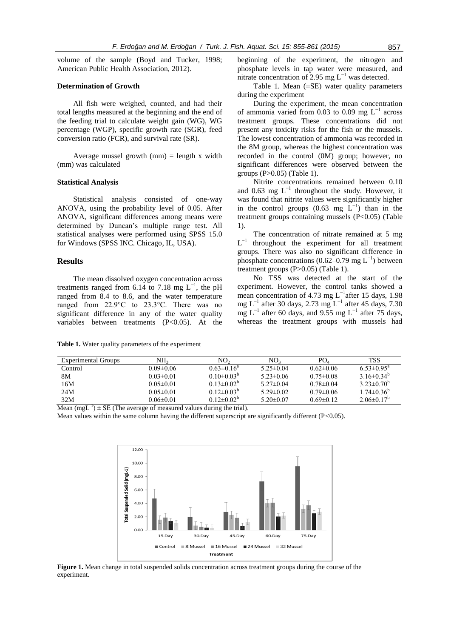volume of the sample (Boyd and Tucker, 1998; American Public Health Association, 2012).

# **Determination of Growth**

All fish were weighed, counted, and had their total lengths measured at the beginning and the end of the feeding trial to calculate weight gain (WG), WG percentage (WGP), specific growth rate (SGR), feed conversion ratio (FCR), and survival rate (SR).

Average mussel growth  $(nm)$  = length x width (mm) was calculated

#### **Statistical Analysis**

Statistical analysis consisted of one-way ANOVA, using the probability level of 0.05. After ANOVA, significant differences among means were determined by Duncan's multiple range test. All statistical analyses were performed using SPSS 15.0 for Windows (SPSS INC. Chicago, IL, USA).

## **Results**

The mean dissolved oxygen concentration across treatments ranged from 6.14 to 7.18 mg  $L^{-1}$ , the pH ranged from 8.4 to 8.6, and the water temperature ranged from 22.9°C to 23.3°C. There was no significant difference in any of the water quality variables between treatments (P<0.05). At the

**Table 1.** Water quality parameters of the experiment

beginning of the experiment, the nitrogen and phosphate levels in tap water were measured, and nitrate concentration of 2.95 mg  $L^{-1}$  was detected.

Table 1. Mean  $(\pm SE)$  water quality parameters during the experiment

During the experiment, the mean concentration of ammonia varied from 0.03 to 0.09 mg  $L^{-1}$  across treatment groups. These concentrations did not present any toxicity risks for the fish or the mussels. The lowest concentration of ammonia was recorded in the 8M group, whereas the highest concentration was recorded in the control (0M) group; however, no significant differences were observed between the groups (P>0.05) (Table 1).

Nitrite concentrations remained between 0.10 and 0.63 mg  $L^{-1}$  throughout the study. However, it was found that nitrite values were significantly higher in the control groups  $(0.63 \text{ mg } L^{-1})$  than in the treatment groups containing mussels  $(P<0.05)$  (Table 1).

The concentration of nitrate remained at 5 mg  ${\cal L}^{-1}$ throughout the experiment for all treatment groups. There was also no significant difference in phosphate concentrations (0.62–0.79 mg  $L^{-1}$ ) between treatment groups (P>0.05) (Table 1).

No TSS was detected at the start of the experiment. However, the control tanks showed a mean concentration of 4.73 mg  $L^{-1}$ after 15 days, 1.98 mg L<sup>-1</sup> after 30 days, 2.73 mg L<sup>-1</sup> after 45 days, 7.30 mg L<sup>-1</sup> after 60 days, and 9.55 mg L<sup>-1</sup> after 75 days, whereas the treatment groups with mussels had

| Experimental Groups | NH2             | NO,               | NO <sub>3</sub> | PO <sub>4</sub> | <b>TSS</b>                   |
|---------------------|-----------------|-------------------|-----------------|-----------------|------------------------------|
| Control             | $0.09 \pm 0.06$ | $0.63 \pm 0.16^a$ | $5.25 \pm 0.04$ | $0.62 \pm 0.06$ | $6.53 \pm 0.95^{\text{a}}$   |
| 8М                  | $0.03 \pm 0.01$ | $0.10\pm0.03^{b}$ | $5.23 \pm 0.06$ | $0.75 \pm 0.08$ | 3.16 $\pm$ 0.34 <sup>b</sup> |
| 16M                 | $0.05 \pm 0.01$ | $0.13 \pm 0.02^b$ | $5.27\pm 0.04$  | $0.78 \pm 0.04$ | $3.23 \pm 0.70^b$            |
| 24M                 | $0.05 \pm 0.01$ | $0.12 \pm 0.03^b$ | $5.29 \pm 0.02$ | $0.79 \pm 0.06$ | $1.74 \pm 0.36^b$            |
| 32M                 | $0.06 \pm 0.01$ | $0.12 \pm 0.02^b$ | $5.20 \pm 0.07$ | $0.69 \pm 0.12$ | $2.06\pm0.17^{\circ}$        |

Mean  $(mgL^{-1}) \pm SE$  (The average of measured values during the trial).

Mean values within the same column having the different superscript are significantly different (P*<*0.05).



**Figure 1.** Mean change in total suspended solids concentration across treatment groups during the course of the experiment.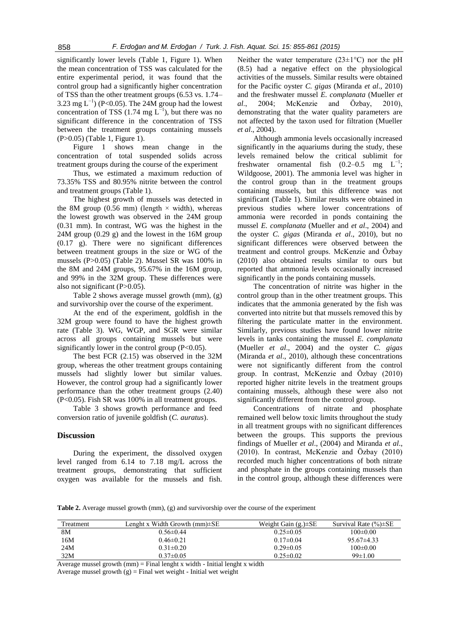significantly lower levels (Table 1, Figure 1). When the mean concentration of TSS was calculated for the entire experimental period, it was found that the control group had a significantly higher concentration of TSS than the other treatment groups (6.53 vs. 1.74– 3.23 mg  $L^{-1}$ ) (P<0.05). The 24M group had the lowest concentration of TSS (1.74 mg  $L^{-1}$ ), but there was no significant difference in the concentration of TSS between the treatment groups containing mussels (P>0.05) (Table 1, Figure 1).

Figure 1 shows mean change in the concentration of total suspended solids across treatment groups during the course of the experiment

Thus, we estimated a maximum reduction of 73.35% TSS and 80.95% nitrite between the control and treatment groups (Table 1).

The highest growth of mussels was detected in the 8M group (0.56 mm) (length  $\times$  width), whereas the lowest growth was observed in the 24M group (0.31 mm). In contrast, WG was the highest in the 24M group (0.29 g) and the lowest in the 16M group (0.17 g). There were no significant differences between treatment groups in the size or WG of the mussels (P>0.05) (Table 2). Mussel SR was 100% in the 8M and 24M groups, 95.67% in the 16M group, and 99% in the 32M group. These differences were also not significant (P>0.05).

Table 2 shows average mussel growth (mm), (g) and survivorship over the course of the experiment.

At the end of the experiment, goldfish in the 32M group were found to have the highest growth rate (Table 3). WG, WGP, and SGR were similar across all groups containing mussels but were significantly lower in the control group (P<0.05).

The best FCR (2.15) was observed in the 32M group, whereas the other treatment groups containing mussels had slightly lower but similar values. However, the control group had a significantly lower performance than the other treatment groups (2.40) (P<0.05). Fish SR was 100% in all treatment groups.

Table 3 shows growth performance and feed conversion ratio of juvenile goldfish (*C. auratus*).

## **Discussion**

During the experiment, the dissolved oxygen level ranged from 6.14 to 7.18 mg/L across the treatment groups, demonstrating that sufficient oxygen was available for the mussels and fish.

Neither the water temperature  $(23\pm1\,^{\circ}\mathrm{C})$  nor the pH (8.5) had a negative effect on the physiological activities of the mussels. Similar results were obtained for the Pacific oyster *C. gigas* (Miranda *et al*., 2010) and the freshwater mussel *E. complanata* (Mueller *et al*., 2004; McKenzie and Özbay, 2010), demonstrating that the water quality parameters are not affected by the taxon used for filtration (Mueller *et al*., 2004).

Although ammonia levels occasionally increased significantly in the aquariums during the study, these levels remained below the critical sublimit for freshwater ornamental fish  $(0.2-0.5 \text{ mg } L^{-1})$ ; Wildgoose, 2001). The ammonia level was higher in the control group than in the treatment groups containing mussels, but this difference was not significant (Table 1). Similar results were obtained in previous studies where lower concentrations of ammonia were recorded in ponds containing the mussel *E. complanata* (Mueller and *et al*., 2004) and the oyster *C. gigas* (Miranda *et al*., 2010), but no significant differences were observed between the treatment and control groups. McKenzie and Özbay (2010) also obtained results similar to ours but reported that ammonia levels occasionally increased significantly in the ponds containing mussels.

The concentration of nitrite was higher in the control group than in the other treatment groups. This indicates that the ammonia generated by the fish was converted into nitrite but that mussels removed this by filtering the particulate matter in the environment. Similarly, previous studies have found lower nitrite levels in tanks containing the mussel *E. complanata* (Mueller *et al*., 2004) and the oyster *C. gigas* (Miranda *et al*., 2010), although these concentrations were not significantly different from the control group. In contrast, McKenzie and Özbay (2010) reported higher nitrite levels in the treatment groups containing mussels, although these were also not significantly different from the control group.

Concentrations of nitrate and phosphate remained well below toxic limits throughout the study in all treatment groups with no significant differences between the groups. This supports the previous findings of Mueller *et al*., (2004) and Miranda *et al*., (2010). In contrast, McKenzie and Özbay (2010) recorded much higher concentrations of both nitrate and phosphate in the groups containing mussels than in the control group, although these differences were

**Table 2.** Average mussel growth (mm), (g) and survivorship over the course of the experiment

| Treatment | Lenght x Width Growth $(mm) \pm SE$ | Weight Gain $(g.)\pm SE$ | Survival Rate $(\%)\pm$ SE |
|-----------|-------------------------------------|--------------------------|----------------------------|
| 8M        | $0.56 \pm 0.44$                     | $0.25 \pm 0.05$          | 100±0.00                   |
| 16M       | $0.46 \pm 0.21$                     | $0.17 \pm 0.04$          | $95.67\pm4.33$             |
| 24M       | $0.31 \pm 0.20$                     | $0.29 \pm 0.05$          | $100 \pm 0.00$             |
| 32M       | $0.37\pm0.05$                       | $0.25 \pm 0.02$          | $99 \pm 1.00$              |

Average mussel growth  $(nm)$  = Final lenght x width - Initial lenght x width Average mussel growth  $(g)$  = Final wet weight - Initial wet weight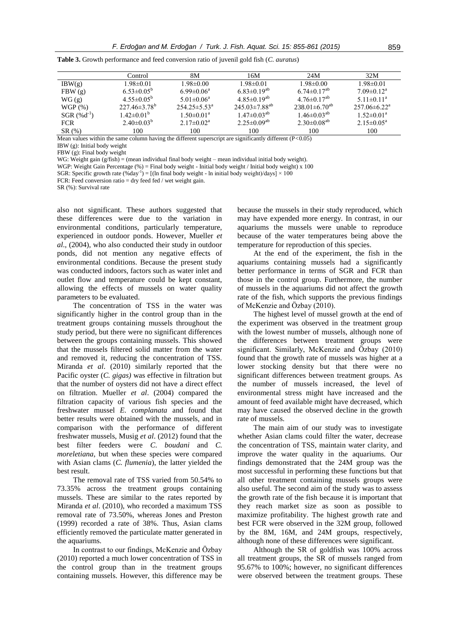|                   | Control                   | 8M                        | 16M                    | 24M                    | 32M                        |
|-------------------|---------------------------|---------------------------|------------------------|------------------------|----------------------------|
| IBW(g)            | $1.98 \pm 0.01$           | $1.98 \pm 0.00$           | $1.98 \pm 0.01$        | $1.98 \pm 0.00$        | $1.98 \pm 0.01$            |
| FBW(g)            | $6.53 \pm 0.05^b$         | $6.99 \pm 0.06^a$         | $6.83\pm0.19^{ab}$     | $6.74 \pm 0.17^{ab}$   | $7.09 \pm 0.12^a$          |
| WG(g)             | $4.55 \pm 0.05^{\circ}$   | $5.01 \pm 0.06^a$         | $4.85\pm0.19^{ab}$     | $4.76\pm0.17^{ab}$     | $5.11 \pm 0.11^a$          |
| WGP(%)            | $227.46 \pm 3.78^{\circ}$ | $254.25 \pm 5.53^{\circ}$ | $245.03 \pm 7.88^{ab}$ | $238.01 \pm 6.70^{ab}$ | $257.06\pm6.22^{\text{a}}$ |
| $SGR (\% d^{-1})$ | $1.42 \pm 0.01^b$         | $1.50 \pm 0.01^a$         | $1.47 \pm 0.03^{ab}$   | $1.46 \pm 0.03^{ab}$   | $1.52 \pm 0.01^a$          |
| <b>FCR</b>        | $2.40\pm0.03^{b}$         | $2.17 \pm 0.02^a$         | $2.25 \pm 0.09^{ab}$   | $2.30\pm0.08^{ab}$     | $2.15 \pm 0.05^{\text{a}}$ |
| SR(%)             | 100                       | 100                       | 100                    | 100                    | 100                        |

**Table 3.** Growth performance and feed conversion ratio of juvenil gold fish (*C. auratus*)

Mean values within the same column having the different superscript are significantly different (P*<*0.05)

IBW (g): Initial body weight

FBW (g): Final body weight

WG: Weight gain (g/fish) = (mean individual final body weight – mean individual initial body weight).

WGP: Weight Gain Percentage (%) = Final body weight - Initial body weight / Initial body weight) x 100

SGR: Specific growth rate  $(\%day^{-1}) = [(\ln \text{final body weight} - \ln \text{initial body weight})/days] \times 100$ 

FCR: Feed conversion ratio = dry feed fed / wet weight gain.

SR (%): Survival rate

also not significant. These authors suggested that these differences were due to the variation in environmental conditions, particularly temperature, experienced in outdoor ponds. However, Mueller *et al*., (2004), who also conducted their study in outdoor ponds, did not mention any negative effects of environmental conditions. Because the present study was conducted indoors, factors such as water inlet and outlet flow and temperature could be kept constant, allowing the effects of mussels on water quality parameters to be evaluated.

The concentration of TSS in the water was significantly higher in the control group than in the treatment groups containing mussels throughout the study period, but there were no significant differences between the groups containing mussels. This showed that the mussels filtered solid matter from the water and removed it, reducing the concentration of TSS. Miranda *et al*. (2010) similarly reported that the Pacific oyster (*C. gigas)* was effective in filtration but that the number of oysters did not have a direct effect on filtration. Mueller *et al*. (2004) compared the filtration capacity of various fish species and the freshwater mussel *E. complanata* and found that better results were obtained with the mussels, and in comparison with the performance of different freshwater mussels, Musig *et al*. (2012) found that the best filter feeders were *C*. *boudani* and *C. moreletiana*, but when these species were compared with Asian clams (*C. flumenia*), the latter yielded the best result.

The removal rate of TSS varied from 50.54% to 73.35% across the treatment groups containing mussels. These are similar to the rates reported by Miranda *et al*. (2010), who recorded a maximum TSS removal rate of 73.50%, whereas Jones and Preston (1999) recorded a rate of 38%. Thus, Asian clams efficiently removed the particulate matter generated in the aquariums.

In contrast to our findings, McKenzie and Özbay (2010) reported a much lower concentration of TSS in the control group than in the treatment groups containing mussels. However, this difference may be because the mussels in their study reproduced, which may have expended more energy. In contrast, in our aquariums the mussels were unable to reproduce because of the water temperatures being above the temperature for reproduction of this species.

At the end of the experiment, the fish in the aquariums containing mussels had a significantly better performance in terms of SGR and FCR than those in the control group. Furthermore, the number of mussels in the aquariums did not affect the growth rate of the fish, which supports the previous findings of McKenzie and Özbay (2010).

The highest level of mussel growth at the end of the experiment was observed in the treatment group with the lowest number of mussels, although none of the differences between treatment groups were significant. Similarly, McKenzie and Özbay (2010) found that the growth rate of mussels was higher at a lower stocking density but that there were no significant differences between treatment groups. As the number of mussels increased, the level of environmental stress might have increased and the amount of feed available might have decreased, which may have caused the observed decline in the growth rate of mussels.

The main aim of our study was to investigate whether Asian clams could filter the water, decrease the concentration of TSS, maintain water clarity, and improve the water quality in the aquariums. Our findings demonstrated that the 24M group was the most successful in performing these functions but that all other treatment containing mussels groups were also useful. The second aim of the study was to assess the growth rate of the fish because it is important that they reach market size as soon as possible to maximize profitability. The highest growth rate and best FCR were observed in the 32M group, followed by the 8M, 16M, and 24M groups, respectively, although none of these differences were significant.

Although the SR of goldfish was 100% across all treatment groups, the SR of mussels ranged from 95.67% to 100%; however, no significant differences were observed between the treatment groups. These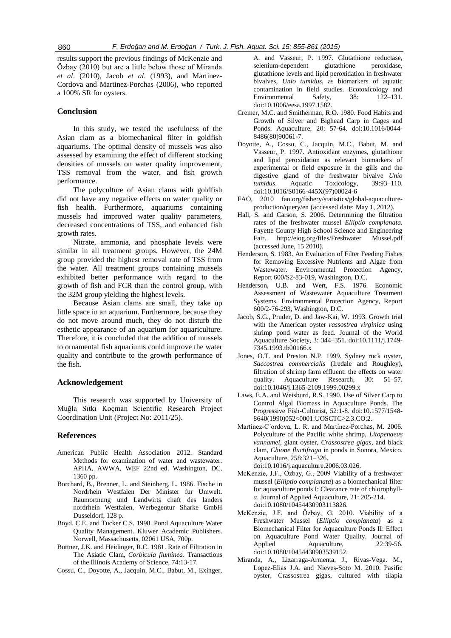results support the previous findings of McKenzie and Özbay (2010) but are a little below those of Miranda *et al*. (2010), Jacob *et al*. (1993), and Martinez-Cordova and Martinez-Porchas (2006), who reported a 100% SR for oysters.

# **Conclusion**

In this study, we tested the usefulness of the Asian clam as a biomechanical filter in goldfish aquariums. The optimal density of mussels was also assessed by examining the effect of different stocking densities of mussels on water quality improvement, TSS removal from the water, and fish growth performance.

The polyculture of Asian clams with goldfish did not have any negative effects on water quality or fish health. Furthermore, aquariums containing mussels had improved water quality parameters, decreased concentrations of TSS, and enhanced fish growth rates.

Nitrate, ammonia, and phosphate levels were similar in all treatment groups. However, the 24M group provided the highest removal rate of TSS from the water. All treatment groups containing mussels exhibited better performance with regard to the growth of fish and FCR than the control group, with the 32M group yielding the highest levels.

Because Asian clams are small, they take up little space in an aquarium. Furthermore, because they do not move around much, they do not disturb the esthetic appearance of an aquarium for aquariculture. Therefore, it is concluded that the addition of mussels to ornamental fish aquariums could improve the water quality and contribute to the growth performance of the fish.

## **Acknowledgement**

This research was supported by University of Muğla Sıtkı Koçman Scientific Research Project Coordination Unit (Project No: 2011/25).

#### **References**

- American Public Health Association 2012. Standard Methods for examination of water and wastewater. APHA, AWWA, WEF 22nd ed. Washington, DC, 1360 pp.
- Borchard, B., Brenner, L. and Steinberg, L. 1986. Fische in Nordrhein Westfalen Der Minister fur Umwelt. Raumortnung und Landwirts chaft des landers nordrhein Westfalen, Werbegentur Sharke GmbH Dusseldorf, 128 p.
- Boyd, C.E. and Tucker C.S. 1998. Pond Aquaculture Water Quality Management. Kluwer Academic Publishers. Norwell, Massachusetts, 02061 USA, 700p.
- Buttner, J.K. and Heidinger, R.C. 1981. Rate of Filtration in The Asiatic Clam, *Corbicula fluminea*. Transactions of the Illinois Academy of Science, 74:13-17.
- Cossu, C., Doyotte, A., Jacquin, M.C., Babut, M., Exinger,

A. and Vasseur, P. 1997. Glutathione reductase, selenium-dependent glutathione peroxidase, glutathione levels and lipid peroxidation in freshwater bivalves, *Unio tumidus*, as biomarkers of aquatic contamination in field studies. [Ecotoxicology and](http://www.sciencedirect.com/science/journal/01476513)  [Environmental Safety,](http://www.sciencedirect.com/science/journal/01476513) [38:](http://www.sciencedirect.com/science/journal/01476513/38/2) 122–131. [doi:10.1006/eesa.1997.1582.](http://dx.doi.org/10.1006/eesa.1997.1582)

- Cremer, M.C. and Smitherman, R.O. 1980. Food Habits and Growth of Silver and Bighead Carp in Cages and Ponds. Aquaculture, 20: 57-64. [doi:10.1016/0044-](http://dx.doi.org/10.1016/0044-8486%2880%2990061-7) [8486\(80\)90061-7.](http://dx.doi.org/10.1016/0044-8486%2880%2990061-7)
- Doyotte, A., Cossu, C., Jacquin, M.C., Babut, M. and Vasseur, P. 1997. Antioxidant enzymes, glutathione and lipid peroxidation as relevant biomarkers of experimental or field exposure in the gills and the digestive gland of the freshwater bivalve *Unio tumidus*. Aquatic Toxicology, 39:93–110. [doi:10.1016/S0166-445X\(97\)00024-6](http://dx.doi.org/10.1016/S0166-445X%2897%2900024-6)
- FAO, 2010 fao.org/fishery/statistics/global-aquacultureproduction/query/en (accessed date: May 1, 2012).
- Hall, S. and Carson, S. 2006. Determining the filtration rates of the freshwater mussel *Elliptio complanata.* Fayette County High School Science and Engineering Fair. <http://eiog.org/files/Freshwater> Mussel.pdf (accessed June, 15 2010).
- Henderson, S. 1983. An Evaluation of Filter Feeding Fishes for Removing Excessive Nutrients and Algae from Wastewater. Environmental Protection Agency, Report 600/S2-83-019, Washington, D.C.
- Henderson, U.B. and Wert, F.S. 1976. Economic Assessment of Wastewater Aquaculture Treatment Systems. Environmental Protection Agency, Report 600/2-76-293, Washington, D.C.
- Jacob, S.G., Pruder, D. and Jaw-Kai, W. 1993. Growth trial with the American oyster *rassostrea virginica* using shrimp pond water as feed. Journal of the World Aquaculture Society, 3: 344–351. doi:10.1111/j.1749- 7345.1993.tb00166.x
- Jones, O.T. and Preston N.P. 1999. Sydney rock oyster, *Saccostrea commercialis* (Iredale and Roughley), filtration of shrimp farm effluent: the effects on water quality. Aquaculture Research, 30: 51–57. doi:10.1046/j.1365-2109.1999.00299.x
- Laws, E.A. and Weisburd, R.S. 1990. Use of Silver Carp to Control Algal Biomass in Aquaculture Ponds. The Progressive Fish-Culturist, 52:1-8. doi:10.1577/1548- 8640(1990)052<0001:UOSCTC>2.3.CO;2.
- Martínez-C´ordova, L. R. and Martínez-Porchas, M. 2006. Polyculture of the Pacific white shrimp, *Litopenaeus vannamei*, giant oyster, *Crassostrea gigas*, and black clam, *Chione fluctifraga* in ponds in Sonora, Mexico. Aquaculture, 258:321–326.

[doi:10.1016/j.aquaculture.2006.03.026.](http://dx.doi.org/10.1016/j.aquaculture.2006.03.026)

- McKenzie, J.F., Özbay, G., 2009 Viability of a freshwater mussel (*Elliptio complanata*) as a biomechanical filter for aquaculture ponds I: Clearance rate of chlorophyll*a*. Journal of Applied Aquaculture, 21: 205-214. doi:10.1080/10454430903113826.
- McKenzie, J.F. and Özbay, G. 2010. Viability of a Freshwater Mussel (*Elliptio complanata*) as a Biomechanical Filter for Aquaculture Ponds II: Effect on Aquaculture Pond Water Quality. Journal of Applied Aquaculture, 22:39-56. doi:10.1080/10454430903539152.
- Miranda, A., Lizarraga-Armenta, J., Rivas-Vega. M., Lopez-Elias J.A. and Nieves-Soto M. 2010. Pasific oyster, Crassostrea gigas, cultured with tilapia